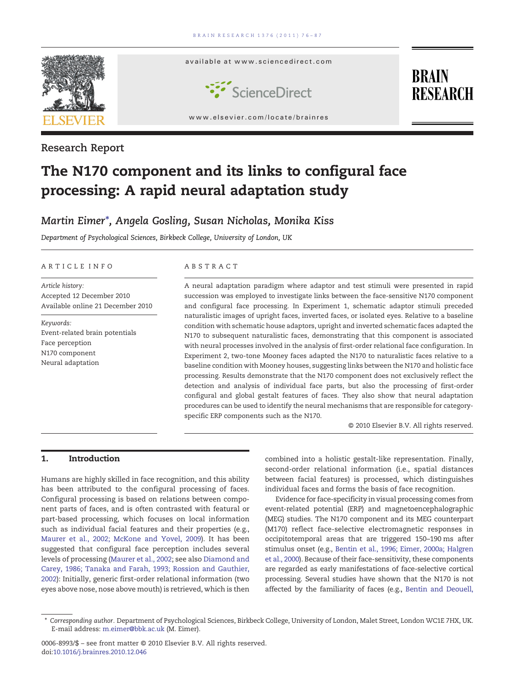

Research Report

# The N170 component and its links to configural face processing: A rapid neural adaptation study

## Martin Eimer⁎, Angela Gosling, Susan Nicholas, Monika Kiss

Department of Psychological Sciences, Birkbeck College, University of London, UK

#### ARTICLE INFO ABSTRACT

Article history: Accepted 12 December 2010 Available online 21 December 2010

Keywords: Event-related brain potentials Face perception N170 component Neural adaptation

A neural adaptation paradigm where adaptor and test stimuli were presented in rapid succession was employed to investigate links between the face-sensitive N170 component and configural face processing. In Experiment 1, schematic adaptor stimuli preceded naturalistic images of upright faces, inverted faces, or isolated eyes. Relative to a baseline condition with schematic house adaptors, upright and inverted schematic faces adapted the N170 to subsequent naturalistic faces, demonstrating that this component is associated with neural processes involved in the analysis of first-order relational face configuration. In Experiment 2, two-tone Mooney faces adapted the N170 to naturalistic faces relative to a baseline condition with Mooney houses, suggesting links between the N170 and holistic face processing. Results demonstrate that the N170 component does not exclusively reflect the detection and analysis of individual face parts, but also the processing of first-order configural and global gestalt features of faces. They also show that neural adaptation procedures can be used to identify the neural mechanisms that are responsible for categoryspecific ERP components such as the N170.

© 2010 Elsevier B.V. All rights reserved.

#### 1. Introduction

Humans are highly skilled in face recognition, and this ability has been attributed to the configural processing of faces. Configural processing is based on relations between component parts of faces, and is often contrasted with featural or part-based processing, which focuses on local information such as individual facial features and their properties (e.g., [Maurer et al., 2002; McKone and Yovel, 2009\)](#page-11-0). It has been suggested that configural face perception includes several levels of processing [\(Maurer et al., 2002](#page-11-0); see also [Diamond and](#page-10-0) [Carey, 1986; Tanaka and Farah, 1993; Rossion and Gauthier,](#page-10-0) [2002\)](#page-10-0): Initially, generic first-order relational information (two eyes above nose, nose above mouth) is retrieved, which is then combined into a holistic gestalt-like representation. Finally, second-order relational information (i.e., spatial distances between facial features) is processed, which distinguishes individual faces and forms the basis of face recognition.

Evidence for face-specificity in visual processing comes from event-related potential (ERP) and magnetoencephalographic (MEG) studies. The N170 component and its MEG counterpart (M170) reflect face-selective electromagnetic responses in occipitotemporal areas that are triggered 150–190 ms after stimulus onset (e.g., [Bentin et al., 1996; Eimer, 2000a; Halgren](#page-10-0) [et al., 2000](#page-10-0)). Because of their face-sensitivity, these components are regarded as early manifestations of face-selective cortical processing. Several studies have shown that the N170 is not affected by the familiarity of faces (e.g., [Bentin and Deouell,](#page-10-0)

<sup>⁎</sup> Corresponding author. Department of Psychological Sciences, Birkbeck College, University of London, Malet Street, London WC1E 7HX, UK. E-mail address: [m.eimer@bbk.ac.uk](mailto:m.eimer@bbk.ac.uk) (M. Eimer).

<sup>0006-8993/\$</sup> – see front matter © 2010 Elsevier B.V. All rights reserved. doi[:10.1016/j.brainres.2010.12.046](http://dx.doi.org/10.1016/j.brainres.2010.12.046)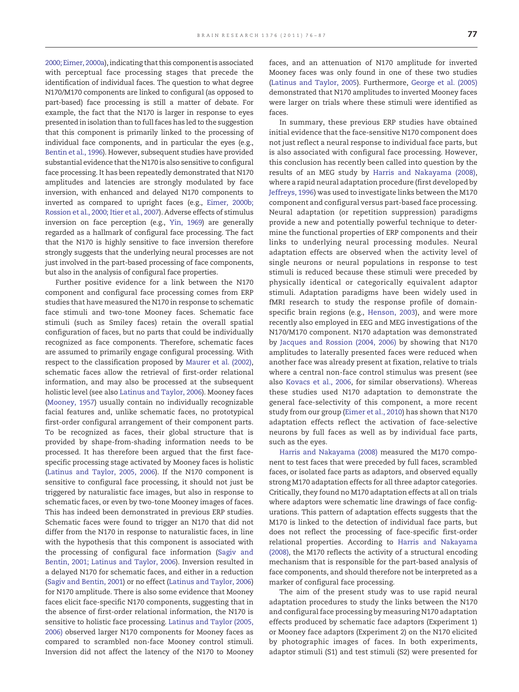[2000; Eimer, 2000a\)](#page-10-0), indicating that this component is associated with perceptual face processing stages that precede the identification of individual faces. The question to what degree N170/M170 components are linked to configural (as opposed to part-based) face processing is still a matter of debate. For example, the fact that the N170 is larger in response to eyes presented in isolation than to full faces has led to the suggestion that this component is primarily linked to the processing of individual face components, and in particular the eyes (e.g., [Bentin et al., 1996\)](#page-10-0). However, subsequent studies have provided substantial evidence that the N170 is also sensitive to configural face processing. It has been repeatedly demonstrated that N170 amplitudes and latencies are strongly modulated by face inversion, with enhanced and delayed N170 components to inverted as compared to upright faces (e.g., [Eimer, 2000b;](#page-10-0) [Rossion et al., 2000; Itier et al., 2007](#page-10-0)). Adverse effects of stimulus inversion on face perception (e.g., [Yin, 1969\)](#page-11-0) are generally regarded as a hallmark of configural face processing. The fact that the N170 is highly sensitive to face inversion therefore strongly suggests that the underlying neural processes are not just involved in the part-based processing of face components, but also in the analysis of configural face properties.

Further positive evidence for a link between the N170 component and configural face processing comes from ERP studies that have measured the N170 in response to schematic face stimuli and two-tone Mooney faces. Schematic face stimuli (such as Smiley faces) retain the overall spatial configuration of faces, but no parts that could be individually recognized as face components. Therefore, schematic faces are assumed to primarily engage configural processing. With respect to the classification proposed by [Maurer et al. \(2002\),](#page-11-0) schematic faces allow the retrieval of first-order relational information, and may also be processed at the subsequent holistic level (see also [Latinus and Taylor, 2006\)](#page-11-0). Mooney faces [\(Mooney, 1957](#page-11-0)) usually contain no individually recognizable facial features and, unlike schematic faces, no prototypical first-order configural arrangement of their component parts. To be recognized as faces, their global structure that is provided by shape-from-shading information needs to be processed. It has therefore been argued that the first facespecific processing stage activated by Mooney faces is holistic [\(Latinus and Taylor, 2005, 2006](#page-11-0)). If the N170 component is sensitive to configural face processing, it should not just be triggered by naturalistic face images, but also in response to schematic faces, or even by two-tone Mooney images of faces. This has indeed been demonstrated in previous ERP studies. Schematic faces were found to trigger an N170 that did not differ from the N170 in response to naturalistic faces, in line with the hypothesis that this component is associated with the processing of configural face information [\(Sagiv and](#page-11-0) [Bentin, 2001; Latinus and Taylor, 2006\)](#page-11-0). Inversion resulted in a delayed N170 for schematic faces, and either in a reduction [\(Sagiv and Bentin, 2001](#page-11-0)) or no effect ([Latinus and Taylor, 2006\)](#page-11-0) for N170 amplitude. There is also some evidence that Mooney faces elicit face-specific N170 components, suggesting that in the absence of first-order relational information, the N170 is sensitive to holistic face processing. [Latinus and Taylor \(2005,](#page-11-0) [2006\)](#page-11-0) observed larger N170 components for Mooney faces as compared to scrambled non-face Mooney control stimuli. Inversion did not affect the latency of the N170 to Mooney

faces, and an attenuation of N170 amplitude for inverted Mooney faces was only found in one of these two studies [\(Latinus and Taylor, 2005\)](#page-11-0). Furthermore, [George et al. \(2005\)](#page-10-0) demonstrated that N170 amplitudes to inverted Mooney faces were larger on trials where these stimuli were identified as faces.

In summary, these previous ERP studies have obtained initial evidence that the face-sensitive N170 component does not just reflect a neural response to individual face parts, but is also associated with configural face processing. However, this conclusion has recently been called into question by the results of an MEG study by [Harris and Nakayama \(2008\),](#page-10-0) where a rapid neural adaptation procedure (first developed by [Jeffreys, 1996](#page-11-0)) was used to investigate links between the M170 component and configural versus part-based face processing. Neural adaptation (or repetition suppression) paradigms provide a new and potentially powerful technique to determine the functional properties of ERP components and their links to underlying neural processing modules. Neural adaptation effects are observed when the activity level of single neurons or neural populations in response to test stimuli is reduced because these stimuli were preceded by physically identical or categorically equivalent adaptor stimuli. Adaptation paradigms have been widely used in fMRI research to study the response profile of domainspecific brain regions (e.g., [Henson, 2003\)](#page-10-0), and were more recently also employed in EEG and MEG investigations of the N170/M170 component. N170 adaptation was demonstrated by [Jacques and Rossion \(2004, 2006\)](#page-10-0) by showing that N170 amplitudes to laterally presented faces were reduced when another face was already present at fixation, relative to trials where a central non-face control stimulus was present (see also [Kovacs et al., 2006](#page-11-0), for similar observations). Whereas these studies used N170 adaptation to demonstrate the general face-selectivity of this component, a more recent study from our group [\(Eimer et al., 2010\)](#page-10-0) has shown that N170 adaptation effects reflect the activation of face-selective neurons by full faces as well as by individual face parts, such as the eyes.

[Harris and Nakayama \(2008\)](#page-10-0) measured the M170 component to test faces that were preceded by full faces, scrambled faces, or isolated face parts as adaptors, and observed equally strong M170 adaptation effects for all three adaptor categories. Critically, they found no M170 adaptation effects at all on trials where adaptors were schematic line drawings of face configurations. This pattern of adaptation effects suggests that the M170 is linked to the detection of individual face parts, but does not reflect the processing of face-specific first-order relational properties. According to [Harris and Nakayama](#page-10-0) [\(2008\)](#page-10-0), the M170 reflects the activity of a structural encoding mechanism that is responsible for the part-based analysis of face components, and should therefore not be interpreted as a marker of configural face processing.

The aim of the present study was to use rapid neural adaptation procedures to study the links between the N170 and configural face processing by measuring N170 adaptation effects produced by schematic face adaptors (Experiment 1) or Mooney face adaptors (Experiment 2) on the N170 elicited by photographic images of faces. In both experiments, adaptor stimuli (S1) and test stimuli (S2) were presented for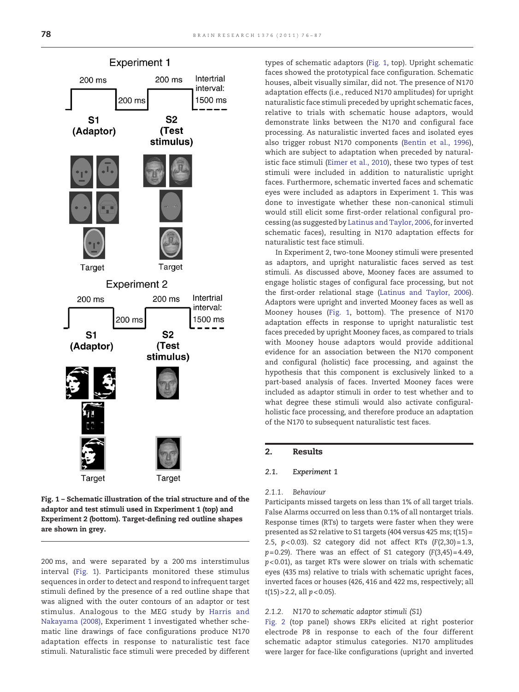<span id="page-2-0"></span>

Fig. 1 – Schematic illustration of the trial structure and of the adaptor and test stimuli used in Experiment 1 (top) and Experiment 2 (bottom). Target-defining red outline shapes are shown in grey.

200 ms, and were separated by a 200 ms interstimulus interval (Fig. 1). Participants monitored these stimulus sequences in order to detect and respond to infrequent target stimuli defined by the presence of a red outline shape that was aligned with the outer contours of an adaptor or test stimulus. Analogous to the MEG study by [Harris and](#page-10-0) [Nakayama \(2008\),](#page-10-0) Experiment 1 investigated whether schematic line drawings of face configurations produce N170 adaptation effects in response to naturalistic test face stimuli. Naturalistic face stimuli were preceded by different types of schematic adaptors (Fig. 1, top). Upright schematic faces showed the prototypical face configuration. Schematic houses, albeit visually similar, did not. The presence of N170 adaptation effects (i.e., reduced N170 amplitudes) for upright naturalistic face stimuli preceded by upright schematic faces, relative to trials with schematic house adaptors, would demonstrate links between the N170 and configural face processing. As naturalistic inverted faces and isolated eyes also trigger robust N170 components [\(Bentin et al., 1996\)](#page-10-0), which are subject to adaptation when preceded by naturalistic face stimuli ([Eimer et al., 2010\)](#page-10-0), these two types of test stimuli were included in addition to naturalistic upright faces. Furthermore, schematic inverted faces and schematic eyes were included as adaptors in Experiment 1. This was done to investigate whether these non-canonical stimuli would still elicit some first-order relational configural processing (as suggested by [Latinus and Taylor, 2006,](#page-11-0) for inverted schematic faces), resulting in N170 adaptation effects for naturalistic test face stimuli.

In Experiment 2, two-tone Mooney stimuli were presented as adaptors, and upright naturalistic faces served as test stimuli. As discussed above, Mooney faces are assumed to engage holistic stages of configural face processing, but not the first-order relational stage [\(Latinus and Taylor, 2006\)](#page-11-0). Adaptors were upright and inverted Mooney faces as well as Mooney houses (Fig. 1, bottom). The presence of N170 adaptation effects in response to upright naturalistic test faces preceded by upright Mooney faces, as compared to trials with Mooney house adaptors would provide additional evidence for an association between the N170 component and configural (holistic) face processing, and against the hypothesis that this component is exclusively linked to a part-based analysis of faces. Inverted Mooney faces were included as adaptor stimuli in order to test whether and to what degree these stimuli would also activate configuralholistic face processing, and therefore produce an adaptation of the N170 to subsequent naturalistic test faces.

## 2. Results

## $\mathbf{r}$ . Experiment 1.

#### 2.1.1. Behaviour

Participants missed targets on less than 1% of all target trials. False Alarms occurred on less than 0.1% of all nontarget trials. Response times (RTs) to targets were faster when they were presented as S2 relative to S1 targets (404 versus 425 ms; t(15)= 2.5,  $p < 0.03$ ). S2 category did not affect RTs  $(F(2, 30) = 1.3,$  $p= 0.29$ ). There was an effect of S1 category (F(3,45) = 4.49,  $p$ <0.01), as target RTs were slower on trials with schematic eyes (435 ms) relative to trials with schematic upright faces, inverted faces or houses (426, 416 and 422 ms, respectively; all  $t(15)$  > 2.2, all  $p < 0.05$ ).

#### 2.1.2. N170 to schematic adaptor stimuli (S1)

[Fig. 2](#page-3-0) (top panel) shows ERPs elicited at right posterior electrode P8 in response to each of the four different schematic adaptor stimulus categories. N170 amplitudes were larger for face-like configurations (upright and inverted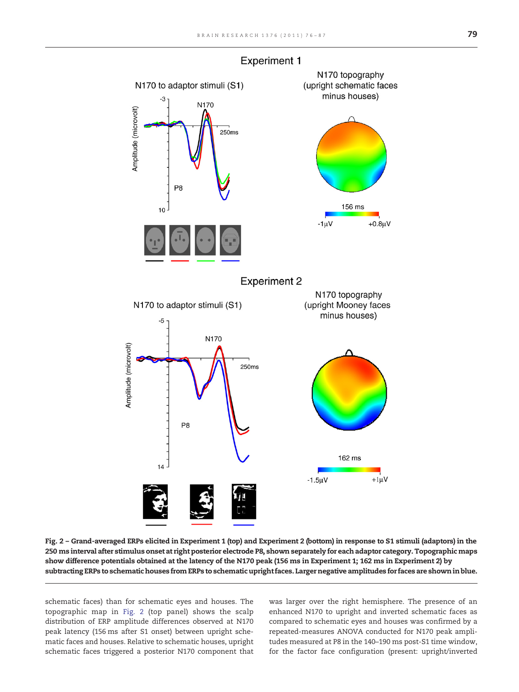<span id="page-3-0"></span>

**Experiment 1** 

Fig. 2 – Grand-averaged ERPs elicited in Experiment 1 (top) and Experiment 2 (bottom) in response to S1 stimuli (adaptors) in the 250 ms interval after stimulus onset at right posterior electrode P8, shown separately for each adaptor category. Topographic maps show difference potentials obtained at the latency of the N170 peak (156 ms in Experiment 1; 162 ms in Experiment 2) by subtracting ERPs to schematic houses from ERPs to schematic upright faces. Larger negative amplitudes for faces are shown in blue.

schematic faces) than for schematic eyes and houses. The topographic map in Fig. 2 (top panel) shows the scalp distribution of ERP amplitude differences observed at N170 peak latency (156 ms after S1 onset) between upright schematic faces and houses. Relative to schematic houses, upright schematic faces triggered a posterior N170 component that

was larger over the right hemisphere. The presence of an enhanced N170 to upright and inverted schematic faces as compared to schematic eyes and houses was confirmed by a repeated-measures ANOVA conducted for N170 peak amplitudes measured at P8 in the 140–190 ms post-S1 time window, for the factor face configuration (present: upright/inverted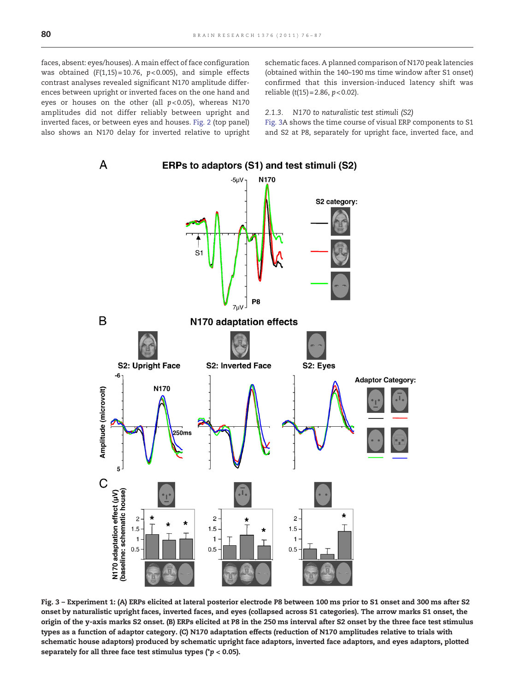schematic faces. A planned comparison of N170 peak latencies (obtained within the 140–190 ms time window after S1 onset) confirmed that this inversion-induced latency shift was reliable  $(t(15) = 2.86, p < 0.02)$ .

#### 2.1.3. N170 to naturalistic test stimuli (S2)

Fig. 3A shows the time course of visual ERP components to S1 and S2 at P8, separately for upright face, inverted face, and

<span id="page-4-0"></span>

Fig. 3 – Experiment 1: (A) ERPs elicited at lateral posterior electrode P8 between 100 ms prior to S1 onset and 300 ms after S2 onset by naturalistic upright faces, inverted faces, and eyes (collapsed across S1 categories). The arrow marks S1 onset, the origin of the y-axis marks S2 onset. (B) ERPs elicited at P8 in the 250 ms interval after S2 onset by the three face test stimulus types as a function of adaptor category. (C) N170 adaptation effects (reduction of N170 amplitudes relative to trials with schematic house adaptors) produced by schematic upright face adaptors, inverted face adaptors, and eyes adaptors, plotted separately for all three face test stimulus types ( $p < 0.05$ ).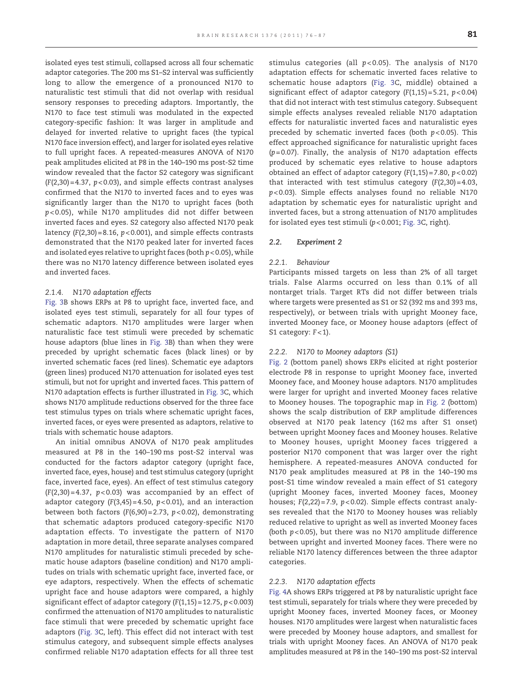isolated eyes test stimuli, collapsed across all four schematic adaptor categories. The 200 ms S1–S2 interval was sufficiently long to allow the emergence of a pronounced N170 to naturalistic test stimuli that did not overlap with residual sensory responses to preceding adaptors. Importantly, the N170 to face test stimuli was modulated in the expected category-specific fashion: It was larger in amplitude and delayed for inverted relative to upright faces (the typical N170 face inversion effect), and larger for isolated eyes relative to full upright faces. A repeated-measures ANOVA of N170 peak amplitudes elicited at P8 in the 140–190 ms post-S2 time window revealed that the factor S2 category was significant  $(F(2,30) = 4.37, p < 0.03)$ , and simple effects contrast analyses confirmed that the N170 to inverted faces and to eyes was significantly larger than the N170 to upright faces (both p< 0.05), while N170 amplitudes did not differ between inverted faces and eyes. S2 category also affected N170 peak latency  $(F(2,30) = 8.16, p < 0.001)$ , and simple effects contrasts demonstrated that the N170 peaked later for inverted faces and isolated eyes relative to upright faces (both  $p < 0.05$ ), while there was no N170 latency difference between isolated eyes and inverted faces.

#### 2.1.4. N170 adaptation effects

[Fig. 3](#page-4-0)B shows ERPs at P8 to upright face, inverted face, and isolated eyes test stimuli, separately for all four types of schematic adaptors. N170 amplitudes were larger when naturalistic face test stimuli were preceded by schematic house adaptors (blue lines in [Fig. 3](#page-4-0)B) than when they were preceded by upright schematic faces (black lines) or by inverted schematic faces (red lines). Schematic eye adaptors (green lines) produced N170 attenuation for isolated eyes test stimuli, but not for upright and inverted faces. This pattern of N170 adaptation effects is further illustrated in [Fig. 3](#page-4-0)C, which shows N170 amplitude reductions observed for the three face test stimulus types on trials where schematic upright faces, inverted faces, or eyes were presented as adaptors, relative to trials with schematic house adaptors.

An initial omnibus ANOVA of N170 peak amplitudes measured at P8 in the 140–190 ms post-S2 interval was conducted for the factors adaptor category (upright face, inverted face, eyes, house) and test stimulus category (upright face, inverted face, eyes). An effect of test stimulus category  $(F(2,30) = 4.37, p < 0.03)$  was accompanied by an effect of adaptor category  $(F(3,45) = 4.50, p < 0.01)$ , and an interaction between both factors  $(F(6,90) = 2.73, p < 0.02)$ , demonstrating that schematic adaptors produced category-specific N170 adaptation effects. To investigate the pattern of N170 adaptation in more detail, three separate analyses compared N170 amplitudes for naturalistic stimuli preceded by schematic house adaptors (baseline condition) and N170 amplitudes on trials with schematic upright face, inverted face, or eye adaptors, respectively. When the effects of schematic upright face and house adaptors were compared, a highly significant effect of adaptor category  $(F(1,15) = 12.75, p < 0.003)$ confirmed the attenuation of N170 amplitudes to naturalistic face stimuli that were preceded by schematic upright face adaptors [\(Fig. 3](#page-4-0)C, left). This effect did not interact with test stimulus category, and subsequent simple effects analyses confirmed reliable N170 adaptation effects for all three test

stimulus categories (all  $p < 0.05$ ). The analysis of N170 adaptation effects for schematic inverted faces relative to schematic house adaptors ([Fig. 3](#page-4-0)C, middle) obtained a significant effect of adaptor category  $(F(1,15) = 5.21, p < 0.04)$ that did not interact with test stimulus category. Subsequent simple effects analyses revealed reliable N170 adaptation effects for naturalistic inverted faces and naturalistic eyes preceded by schematic inverted faces (both  $p$ <0.05). This effect approached significance for naturalistic upright faces  $(p= 0.07)$ . Finally, the analysis of N170 adaptation effects produced by schematic eyes relative to house adaptors obtained an effect of adaptor category  $(F(1,15) = 7.80, p < 0.02)$ that interacted with test stimulus category  $(F(2,30) = 4.03,$ p< 0.03). Simple effects analyses found no reliable N170 adaptation by schematic eyes for naturalistic upright and inverted faces, but a strong attenuation of N170 amplitudes for isolated eyes test stimuli  $(p<0.001;$  [Fig. 3](#page-4-0)C, right).

## 2.2. Experiment 2

#### 2.2.1. Behaviour

Participants missed targets on less than 2% of all target trials. False Alarms occurred on less than 0.1% of all nontarget trials. Target RTs did not differ between trials where targets were presented as S1 or S2 (392 ms and 393 ms, respectively), or between trials with upright Mooney face, inverted Mooney face, or Mooney house adaptors (effect of S1 category:  $F < 1$ ).

#### 2.2.2. N170 to Mooney adaptors (S1)

[Fig. 2](#page-3-0) (bottom panel) shows ERPs elicited at right posterior electrode P8 in response to upright Mooney face, inverted Mooney face, and Mooney house adaptors. N170 amplitudes were larger for upright and inverted Mooney faces relative to Mooney houses. The topographic map in [Fig. 2](#page-3-0) (bottom) shows the scalp distribution of ERP amplitude differences observed at N170 peak latency (162 ms after S1 onset) between upright Mooney faces and Mooney houses. Relative to Mooney houses, upright Mooney faces triggered a posterior N170 component that was larger over the right hemisphere. A repeated-measures ANOVA conducted for N170 peak amplitudes measured at P8 in the 140–190 ms post-S1 time window revealed a main effect of S1 category (upright Mooney faces, inverted Mooney faces, Mooney houses;  $F(2,22) = 7.9$ ,  $p < 0.02$ ). Simple effects contrast analyses revealed that the N170 to Mooney houses was reliably reduced relative to upright as well as inverted Mooney faces (both  $p < 0.05$ ), but there was no N170 amplitude difference between upright and inverted Mooney faces. There were no reliable N170 latency differences between the three adaptor categories.

#### 2.2.3. N170 adaptation effects

[Fig. 4A](#page-6-0) shows ERPs triggered at P8 by naturalistic upright face test stimuli, separately for trials where they were preceded by upright Mooney faces, inverted Mooney faces, or Mooney houses. N170 amplitudes were largest when naturalistic faces were preceded by Mooney house adaptors, and smallest for trials with upright Mooney faces. An ANOVA of N170 peak amplitudes measured at P8 in the 140–190 ms post-S2 interval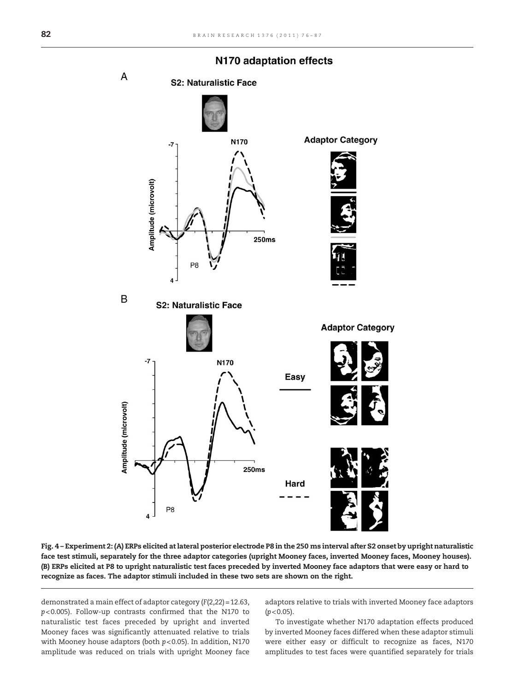<span id="page-6-0"></span>

### N170 adaptation effects

Fig. 4 – Experiment 2: (A) ERPs elicited at lateral posterior electrode P8 in the 250 ms interval after S2 onset by upright naturalistic face test stimuli, separately for the three adaptor categories (upright Mooney faces, inverted Mooney faces, Mooney houses). (B) ERPs elicited at P8 to upright naturalistic test faces preceded by inverted Mooney face adaptors that were easy or hard to recognize as faces. The adaptor stimuli included in these two sets are shown on the right.

demonstrated a main effect of adaptor category (F(2,22)= 12.63, p< 0.005). Follow-up contrasts confirmed that the N170 to naturalistic test faces preceded by upright and inverted Mooney faces was significantly attenuated relative to trials with Mooney house adaptors (both  $p$ <0.05). In addition, N170 amplitude was reduced on trials with upright Mooney face adaptors relative to trials with inverted Mooney face adaptors  $(p < 0.05)$ .

To investigate whether N170 adaptation effects produced by inverted Mooney faces differed when these adaptor stimuli were either easy or difficult to recognize as faces, N170 amplitudes to test faces were quantified separately for trials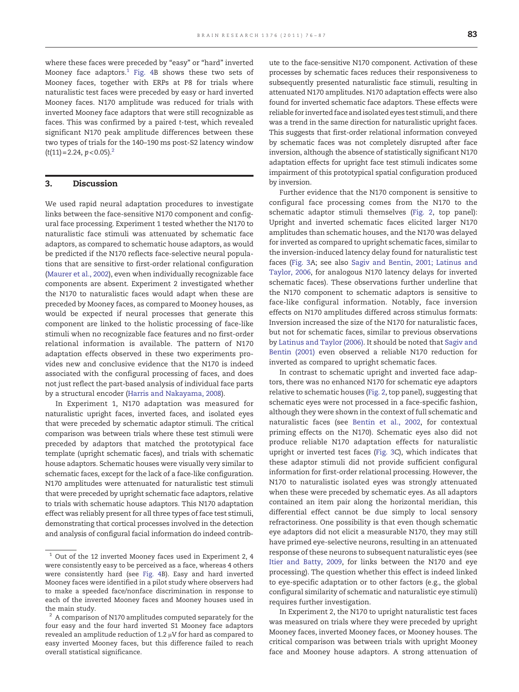where these faces were preceded by "easy" or "hard" inverted Mooney face adaptors. $1$  [Fig. 4B](#page-6-0) shows these two sets of Mooney faces, together with ERPs at P8 for trials where naturalistic test faces were preceded by easy or hard inverted Mooney faces. N170 amplitude was reduced for trials with inverted Mooney face adaptors that were still recognizable as faces. This was confirmed by a paired t-test, which revealed significant N170 peak amplitude differences between these two types of trials for the 140–190 ms post-S2 latency window  $(t(11)=2.24, p<0.05).$ <sup>2</sup>

#### 3. Discussion

We used rapid neural adaptation procedures to investigate links between the face-sensitive N170 component and configural face processing. Experiment 1 tested whether the N170 to naturalistic face stimuli was attenuated by schematic face adaptors, as compared to schematic house adaptors, as would be predicted if the N170 reflects face-selective neural populations that are sensitive to first-order relational configuration [\(Maurer et al., 2002\)](#page-11-0), even when individually recognizable face components are absent. Experiment 2 investigated whether the N170 to naturalistic faces would adapt when these are preceded by Mooney faces, as compared to Mooney houses, as would be expected if neural processes that generate this component are linked to the holistic processing of face-like stimuli when no recognizable face features and no first-order relational information is available. The pattern of N170 adaptation effects observed in these two experiments provides new and conclusive evidence that the N170 is indeed associated with the configural processing of faces, and does not just reflect the part-based analysis of individual face parts by a structural encoder ([Harris and Nakayama, 2008\)](#page-10-0).

In Experiment 1, N170 adaptation was measured for naturalistic upright faces, inverted faces, and isolated eyes that were preceded by schematic adaptor stimuli. The critical comparison was between trials where these test stimuli were preceded by adaptors that matched the prototypical face template (upright schematic faces), and trials with schematic house adaptors. Schematic houses were visually very similar to schematic faces, except for the lack of a face-like configuration. N170 amplitudes were attenuated for naturalistic test stimuli that were preceded by upright schematic face adaptors, relative to trials with schematic house adaptors. This N170 adaptation effect was reliably present for all three types of face test stimuli, demonstrating that cortical processes involved in the detection and analysis of configural facial information do indeed contribute to the face-sensitive N170 component. Activation of these processes by schematic faces reduces their responsiveness to subsequently presented naturalistic face stimuli, resulting in attenuated N170 amplitudes. N170 adaptation effects were also found for inverted schematic face adaptors. These effects were reliable for inverted face and isolated eyes test stimuli, and there was a trend in the same direction for naturalistic upright faces. This suggests that first-order relational information conveyed by schematic faces was not completely disrupted after face inversion, although the absence of statistically significant N170 adaptation effects for upright face test stimuli indicates some impairment of this prototypical spatial configuration produced by inversion.

Further evidence that the N170 component is sensitive to configural face processing comes from the N170 to the schematic adaptor stimuli themselves ([Fig. 2,](#page-3-0) top panel): Upright and inverted schematic faces elicited larger N170 amplitudes than schematic houses, and the N170 was delayed for inverted as compared to upright schematic faces, similar to the inversion-induced latency delay found for naturalistic test faces ([Fig. 3](#page-4-0)A; see also [Sagiv and Bentin, 2001; Latinus and](#page-11-0) [Taylor, 2006,](#page-11-0) for analogous N170 latency delays for inverted schematic faces). These observations further underline that the N170 component to schematic adaptors is sensitive to face-like configural information. Notably, face inversion effects on N170 amplitudes differed across stimulus formats: Inversion increased the size of the N170 for naturalistic faces, but not for schematic faces, similar to previous observations by [Latinus and Taylor \(2006\)](#page-11-0). It should be noted that [Sagiv and](#page-11-0) [Bentin \(2001\)](#page-11-0) even observed a reliable N170 reduction for inverted as compared to upright schematic faces.

In contrast to schematic upright and inverted face adaptors, there was no enhanced N170 for schematic eye adaptors relative to schematic houses ([Fig. 2](#page-3-0), top panel), suggesting that schematic eyes were not processed in a face-specific fashion, although they were shown in the context of full schematic and naturalistic faces (see [Bentin et al., 2002,](#page-10-0) for contextual priming effects on the N170). Schematic eyes also did not produce reliable N170 adaptation effects for naturalistic upright or inverted test faces ([Fig. 3C](#page-4-0)), which indicates that these adaptor stimuli did not provide sufficient configural information for first-order relational processing. However, the N170 to naturalistic isolated eyes was strongly attenuated when these were preceded by schematic eyes. As all adaptors contained an item pair along the horizontal meridian, this differential effect cannot be due simply to local sensory refractoriness. One possibility is that even though schematic eye adaptors did not elicit a measurable N170, they may still have primed eye-selective neurons, resulting in an attenuated response of these neurons to subsequent naturalistic eyes (see [Itier and Batty, 2009](#page-10-0), for links between the N170 and eye processing). The question whether this effect is indeed linked to eye-specific adaptation or to other factors (e.g., the global configural similarity of schematic and naturalistic eye stimuli) requires further investigation.

In Experiment 2, the N170 to upright naturalistic test faces was measured on trials where they were preceded by upright Mooney faces, inverted Mooney faces, or Mooney houses. The critical comparison was between trials with upright Mooney face and Mooney house adaptors. A strong attenuation of

 $1$  Out of the 12 inverted Mooney faces used in Experiment 2, 4 were consistently easy to be perceived as a face, whereas 4 others were consistently hard (see [Fig. 4](#page-6-0)B). Easy and hard inverted Mooney faces were identified in a pilot study where observers had to make a speeded face/nonface discrimination in response to each of the inverted Mooney faces and Mooney houses used in the main study.

 $2$  A comparison of N170 amplitudes computed separately for the four easy and the four hard inverted S1 Mooney face adaptors revealed an amplitude reduction of 1.2 μV for hard as compared to easy inverted Mooney faces, but this difference failed to reach overall statistical significance.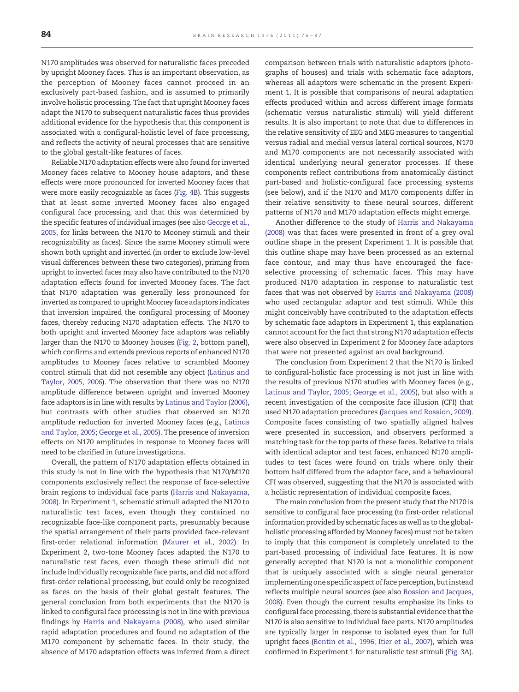N170 amplitudes was observed for naturalistic faces preceded by upright Mooney faces. This is an important observation, as the perception of Mooney faces cannot proceed in an exclusively part-based fashion, and is assumed to primarily involve holistic processing. The fact that upright Mooney faces adapt the N170 to subsequent naturalistic faces thus provides additional evidence for the hypothesis that this component is associated with a configural-holistic level of face processing, and reflects the activity of neural processes that are sensitive to the global gestalt-like features of faces.

Reliable N170 adaptation effects were also found for inverted Mooney faces relative to Mooney house adaptors, and these effects were more pronounced for inverted Mooney faces that were more easily recognizable as faces [\(Fig. 4](#page-6-0)B). This suggests that at least some inverted Mooney faces also engaged configural face processing, and that this was determined by the specific features of individual images (see also [George et al.,](#page-10-0) [2005](#page-10-0), for links between the N170 to Mooney stimuli and their recognizability as faces). Since the same Mooney stimuli were shown both upright and inverted (in order to exclude low-level visual differences between these two categories), priming from upright to inverted faces may also have contributed to the N170 adaptation effects found for inverted Mooney faces. The fact that N170 adaptation was generally less pronounced for inverted as compared to upright Mooney face adaptors indicates that inversion impaired the configural processing of Mooney faces, thereby reducing N170 adaptation effects. The N170 to both upright and inverted Mooney face adaptors was reliably larger than the N170 to Mooney houses [\(Fig. 2](#page-3-0), bottom panel), which confirms and extends previous reports of enhanced N170 amplitudes to Mooney faces relative to scrambled Mooney control stimuli that did not resemble any object [\(Latinus and](#page-11-0) [Taylor, 2005, 2006](#page-11-0)). The observation that there was no N170 amplitude difference between upright and inverted Mooney face adaptors is in line with results by [Latinus and Taylor \(2006\)](#page-11-0), but contrasts with other studies that observed an N170 amplitude reduction for inverted Mooney faces (e.g., [Latinus](#page-11-0) [and Taylor, 2005; George et al., 2005\)](#page-11-0). The presence of inversion effects on N170 amplitudes in response to Mooney faces will need to be clarified in future investigations.

Overall, the pattern of N170 adaptation effects obtained in this study is not in line with the hypothesis that N170/M170 components exclusively reflect the response of face-selective brain regions to individual face parts [\(Harris and Nakayama,](#page-10-0) [2008\)](#page-10-0). In Experiment 1, schematic stimuli adapted the N170 to naturalistic test faces, even though they contained no recognizable face-like component parts, presumably because the spatial arrangement of their parts provided face-relevant first-order relational information [\(Maurer et al., 2002\)](#page-11-0). In Experiment 2, two-tone Mooney faces adapted the N170 to naturalistic test faces, even though these stimuli did not include individually recognizable face parts, and did not afford first-order relational processing, but could only be recognized as faces on the basis of their global gestalt features. The general conclusion from both experiments that the N170 is linked to configural face processing is not in line with previous findings by [Harris and Nakayama \(2008\)](#page-10-0), who used similar rapid adaptation procedures and found no adaptation of the M170 component by schematic faces. In their study, the absence of M170 adaptation effects was inferred from a direct comparison between trials with naturalistic adaptors (photographs of houses) and trials with schematic face adaptors, whereas all adaptors were schematic in the present Experiment 1. It is possible that comparisons of neural adaptation effects produced within and across different image formats (schematic versus naturalistic stimuli) will yield different results. It is also important to note that due to differences in the relative sensitivity of EEG and MEG measures to tangential versus radial and medial versus lateral cortical sources, N170 and M170 components are not necessarily associated with identical underlying neural generator processes. If these components reflect contributions from anatomically distinct part-based and holistic-configural face processing systems (see below), and if the N170 and M170 components differ in their relative sensitivity to these neural sources, different patterns of N170 and M170 adaptation effects might emerge.

Another difference to the study of [Harris and Nakayama](#page-10-0) [\(2008\)](#page-10-0) was that faces were presented in front of a grey oval outline shape in the present Experiment 1. It is possible that this outline shape may have been processed as an external face contour, and may thus have encouraged the faceselective processing of schematic faces. This may have produced N170 adaptation in response to naturalistic test faces that was not observed by [Harris and Nakayama \(2008\)](#page-10-0) who used rectangular adaptor and test stimuli. While this might conceivably have contributed to the adaptation effects by schematic face adaptors in Experiment 1, this explanation cannot account for the fact that strong N170 adaptation effects were also observed in Experiment 2 for Mooney face adaptors that were not presented against an oval background.

The conclusion from Experiment 2 that the N170 is linked to configural-holistic face processing is not just in line with the results of previous N170 studies with Mooney faces (e.g., [Latinus and Taylor, 2005; George et al., 2005](#page-11-0)), but also with a recent investigation of the composite face illusion (CFI) that used N170 adaptation procedures [\(Jacques and Rossion, 2009\)](#page-10-0). Composite faces consisting of two spatially aligned halves were presented in succession, and observers performed a matching task for the top parts of these faces. Relative to trials with identical adaptor and test faces, enhanced N170 amplitudes to test faces were found on trials where only their bottom half differed from the adaptor face, and a behavioural CFI was observed, suggesting that the N170 is associated with a holistic representation of individual composite faces.

The main conclusion from the present study that the N170 is sensitive to configural face processing (to first-order relational information provided by schematic faces as well as to the globalholistic processing afforded by Mooney faces) must not be taken to imply that this component is completely unrelated to the part-based processing of individual face features. It is now generally accepted that N170 is not a monolithic component that is uniquely associated with a single neural generator implementing one specific aspect of face perception, but instead reflects multiple neural sources (see also [Rossion and Jacques,](#page-11-0) [2008\)](#page-11-0). Even though the current results emphasize its links to configural face processing, there is substantial evidence that the N170 is also sensitive to individual face parts. N170 amplitudes are typically larger in response to isolated eyes than for full upright faces [\(Bentin et al., 1996; Itier et al., 2007](#page-10-0)), which was confirmed in Experiment 1 for naturalistic test stimuli ([Fig. 3](#page-4-0)A).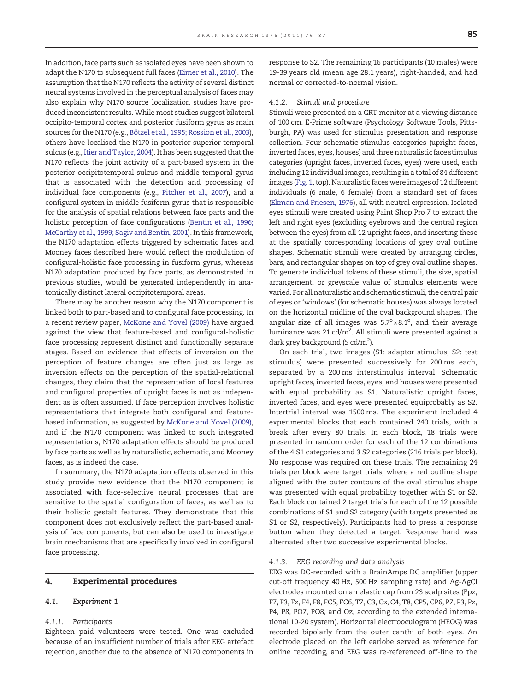In addition, face parts such as isolated eyes have been shown to adapt the N170 to subsequent full faces ([Eimer et al., 2010\)](#page-10-0). The assumption that the N170 reflects the activity of several distinct neural systems involved in the perceptual analysis of faces may also explain why N170 source localization studies have produced inconsistent results. While most studies suggest bilateral occipito-temporal cortex and posterior fusiform gyrus as main sources for the N170 (e.g., [Bötzel et al., 1995; Rossion et al., 2003](#page-10-0)), others have localised the N170 in posterior superior temporal sulcus (e.g., [Itier and Taylor, 2004](#page-10-0)). It has been suggested that the N170 reflects the joint activity of a part-based system in the posterior occipitotemporal sulcus and middle temporal gyrus that is associated with the detection and processing of individual face components (e.g., [Pitcher et al., 2007\)](#page-11-0), and a configural system in middle fusiform gyrus that is responsible for the analysis of spatial relations between face parts and the holistic perception of face configurations [\(Bentin et al., 1996;](#page-10-0) [McCarthy et al., 1999; Sagiv and Bentin, 2001\)](#page-10-0). In this framework, the N170 adaptation effects triggered by schematic faces and Mooney faces described here would reflect the modulation of configural-holistic face processing in fusiform gyrus, whereas N170 adaptation produced by face parts, as demonstrated in previous studies, would be generated independently in anatomically distinct lateral occipitotemporal areas.

There may be another reason why the N170 component is linked both to part-based and to configural face processing. In a recent review paper, [McKone and Yovel \(2009\)](#page-11-0) have argued against the view that feature-based and configural-holistic face processing represent distinct and functionally separate stages. Based on evidence that effects of inversion on the perception of feature changes are often just as large as inversion effects on the perception of the spatial-relational changes, they claim that the representation of local features and configural properties of upright faces is not as independent as is often assumed. If face perception involves holistic representations that integrate both configural and featurebased information, as suggested by [McKone and Yovel \(2009\),](#page-11-0) and if the N170 component was linked to such integrated representations, N170 adaptation effects should be produced by face parts as well as by naturalistic, schematic, and Mooney faces, as is indeed the case.

In summary, the N170 adaptation effects observed in this study provide new evidence that the N170 component is associated with face-selective neural processes that are sensitive to the spatial configuration of faces, as well as to their holistic gestalt features. They demonstrate that this component does not exclusively reflect the part-based analysis of face components, but can also be used to investigate brain mechanisms that are specifically involved in configural face processing.

#### 4. Experimental procedures

#### $4.1.$  $\frac{1}{\sqrt{2}}$ . Experiment 1

#### 4.1.1. Participants

Eighteen paid volunteers were tested. One was excluded because of an insufficient number of trials after EEG artefact rejection, another due to the absence of N170 components in response to S2. The remaining 16 participants (10 males) were 19-39 years old (mean age 28.1 years), right-handed, and had normal or corrected-to-normal vision.

#### 4.1.2. Stimuli and procedure

Stimuli were presented on a CRT monitor at a viewing distance of 100 cm. E-Prime software (Psychology Software Tools, Pittsburgh, PA) was used for stimulus presentation and response collection. Four schematic stimulus categories (upright faces, inverted faces, eyes, houses) and three naturalistic face stimulus categories (upright faces, inverted faces, eyes) were used, each including 12 individual images, resulting in a total of 84 different images [\(Fig. 1,](#page-2-0) top). Naturalistic faces were images of 12 different individuals (6 male, 6 female) from a standard set of faces [\(Ekman and Friesen, 1976](#page-10-0)), all with neutral expression. Isolated eyes stimuli were created using Paint Shop Pro 7 to extract the left and right eyes (excluding eyebrows and the central region between the eyes) from all 12 upright faces, and inserting these at the spatially corresponding locations of grey oval outline shapes. Schematic stimuli were created by arranging circles, bars, and rectangular shapes on top of grey oval outline shapes. To generate individual tokens of these stimuli, the size, spatial arrangement, or greyscale value of stimulus elements were varied. For all naturalistic and schematic stimuli, the central pair of eyes or 'windows' (for schematic houses) was always located on the horizontal midline of the oval background shapes. The angular size of all images was  $5.7^\circ \times 8.1^\circ$ , and their average luminance was 21 cd/m². All stimuli were presented against a dark grey background (5 cd/m<sup>2</sup>).

On each trial, two images (S1: adaptor stimulus; S2: test stimulus) were presented successively for 200 ms each, separated by a 200 ms interstimulus interval. Schematic upright faces, inverted faces, eyes, and houses were presented with equal probability as S1. Naturalistic upright faces, inverted faces, and eyes were presented equiprobably as S2. Intertrial interval was 1500 ms. The experiment included 4 experimental blocks that each contained 240 trials, with a break after every 80 trials. In each block, 18 trials were presented in random order for each of the 12 combinations of the 4 S1 categories and 3 S2 categories (216 trials per block). No response was required on these trials. The remaining 24 trials per block were target trials, where a red outline shape aligned with the outer contours of the oval stimulus shape was presented with equal probability together with S1 or S2. Each block contained 2 target trials for each of the 12 possible combinations of S1 and S2 category (with targets presented as S1 or S2, respectively). Participants had to press a response button when they detected a target. Response hand was alternated after two successive experimental blocks.

#### 4.1.3. EEG recording and data analysis

EEG was DC-recorded with a BrainAmps DC amplifier (upper cut-off frequency 40 Hz, 500 Hz sampling rate) and Ag-AgCl electrodes mounted on an elastic cap from 23 scalp sites (Fpz, F7, F3, Fz, F4, F8, FC5, FC6, T7, C3, Cz, C4, T8, CP5, CP6, P7, P3, Pz, P4, P8, PO7, PO8, and Oz, according to the extended international 10-20 system). Horizontal electrooculogram (HEOG) was recorded bipolarly from the outer canthi of both eyes. An electrode placed on the left earlobe served as reference for online recording, and EEG was re-referenced off-line to the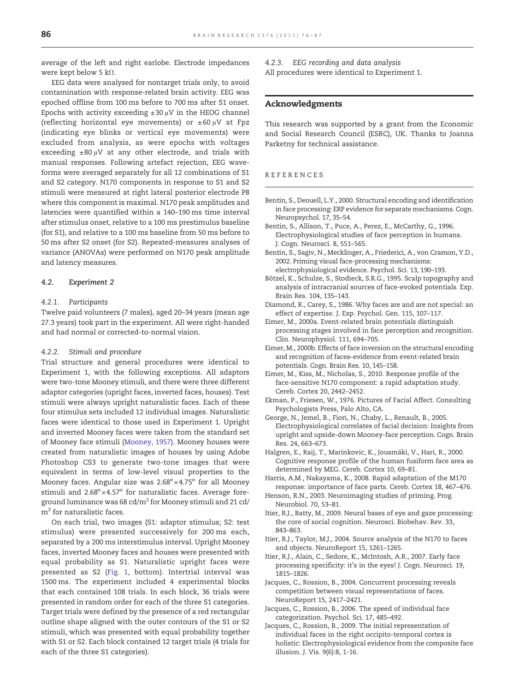<span id="page-10-0"></span>average of the left and right earlobe. Electrode impedances were kept below 5 kΩ.

EEG data were analysed for nontarget trials only, to avoid contamination with response-related brain activity. EEG was epoched offline from 100 ms before to 700 ms after S1 onset. Epochs with activity exceeding  $\pm 30 \mu V$  in the HEOG channel (reflecting horizontal eye movements) or ±60 μV at Fpz (indicating eye blinks or vertical eye movements) were excluded from analysis, as were epochs with voltages exceeding  $\pm 80 \mu V$  at any other electrode, and trials with manual responses. Following artefact rejection, EEG waveforms were averaged separately for all 12 combinations of S1 and S2 category. N170 components in response to S1 and S2 stimuli were measured at right lateral posterior electrode P8 where this component is maximal. N170 peak amplitudes and latencies were quantified within a 140–190 ms time interval after stimulus onset, relative to a 100 ms prestimulus baseline (for S1), and relative to a 100 ms baseline from 50 ms before to 50 ms after S2 onset (for S2). Repeated-measures analyses of variance (ANOVAs) were performed on N170 peak amplitude and latency measures.

#### $4.2.$  $\mathbf{F}$ .

#### 4.2.1. Participants

Twelve paid volunteers (7 males), aged 20–34 years (mean age 27.3 years) took part in the experiment. All were right-handed and had normal or corrected-to-normal vision.

#### 4.2.2. Stimuli and procedure

Trial structure and general procedures were identical to Experiment 1, with the following exceptions. All adaptors were two-tone Mooney stimuli, and there were three different adaptor categories (upright faces, inverted faces, houses). Test stimuli were always upright naturalistic faces. Each of these four stimulus sets included 12 individual images. Naturalistic faces were identical to those used in Experiment 1. Upright and inverted Mooney faces were taken from the standard set of Mooney face stimuli ([Mooney, 1957](#page-11-0)). Mooney houses were created from naturalistic images of houses by using Adobe Photoshop CS3 to generate two-tone images that were equivalent in terms of low-level visual properties to the Mooney faces. Angular size was  $2.68^{\circ} \times 4.75^{\circ}$  for all Mooney stimuli and  $2.68^{\circ} \times 4.57^{\circ}$  for naturalistic faces. Average foreground luminance was 68 cd/ $m^2$  for Mooney stimuli and 21 cd/ m<sup>2</sup> for naturalistic faces.

On each trial, two images (S1: adaptor stimulus; S2: test stimulus) were presented successively for 200 ms each, separated by a 200 ms interstimulus interval. Upright Mooney faces, inverted Mooney faces and houses were presented with equal probability as S1. Naturalistic upright faces were presented as S2 [\(Fig. 1,](#page-2-0) bottom). Intertrial interval was 1500 ms. The experiment included 4 experimental blocks that each contained 108 trials. In each block, 36 trials were presented in random order for each of the three S1 categories. Target trials were defined by the presence of a red rectangular outline shape aligned with the outer contours of the S1 or S2 stimuli, which was presented with equal probability together with S1 or S2. Each block contained 12 target trials (4 trials for each of the three S1 categories).

4.2.3. EEG recording and data analysis All procedures were identical to Experiment 1.

#### Acknowledgments

This research was supported by a grant from the Economic and Social Research Council (ESRC), UK. Thanks to Joanna Parketny for technical assistance.

#### REFERENCES

- Bentin, S., Deouell, L.Y., 2000. Structural encoding and identification in face processing: ERP evidence for separate mechanisms. Cogn. Neuropsychol. 17, 35–54.
- Bentin, S., Allison, T., Puce, A., Perez, E., McCarthy, G., 1996. Electrophysiological studies of face perception in humans. J. Cogn. Neurosci. 8, 551–565.
- Bentin, S., Sagiv, N., Mecklinger, A., Friederici, A., von Cramon, Y.D., 2002. Priming visual face-processing mechanisms: electrophysiological evidence. Psychol. Sci. 13, 190–193.
- Bötzel, K., Schulze, S., Stodieck, S.R.G., 1995. Scalp topography and analysis of intracranial sources of face-evoked potentials. Exp. Brain Res. 104, 135–143.
- Diamond, R., Carey, S., 1986. Why faces are and are not special: an effect of expertise. J. Exp. Psychol. Gen. 115, 107–117.
- Eimer, M., 2000a. Event-related brain potentials distinguish processing stages involved in face perception and recognition. Clin. Neurophysiol. 111, 694–705.
- Eimer, M., 2000b. Effects of face inversion on the structural encoding and recognition of faces–evidence from event-related brain potentials. Cogn. Brain Res. 10, 145–158.
- Eimer, M., Kiss, M., Nicholas, S., 2010. Response profile of the face-sensitive N170 component: a rapid adaptation study. Cereb. Cortex 20, 2442–2452.
- Ekman, P., Friesen, W., 1976. Pictures of Facial Affect. Consulting Psychologists Press, Palo Alto, CA.
- George, N., Jemel, B., Fiori, N., Chaby, L., Renault, B., 2005. Electrophysiological correlates of facial decision: Insights from upright and upside-down Mooney-face perception. Cogn. Brain Res. 24, 663–673.
- Halgren, E., Raij, T., Marinkovic, K., Jousmäki, V., Hari, R., 2000. Cognitive response profile of the human fusiform face area as determined by MEG. Cereb. Cortex 10, 69–81.
- Harris, A.M., Nakayama, K., 2008. Rapid adaptation of the M170 response: importance of face parts. Cereb. Cortex 18, 467–476.
- Henson, R.N., 2003. Neuroimaging studies of priming. Prog. Neurobiol. 70, 53–81.
- Itier, R.J., Batty, M., 2009. Neural bases of eye and gaze processing: the core of social cognition. Neurosci. Biobehav. Rev. 33, 843–863.
- Itier, R.J., Taylor, M.J., 2004. Source analysis of the N170 to faces and objects. NeuroReport 15, 1261–1265.
- Itier, R.J., Alain, C., Sedore, K., McIntosh, A.R., 2007. Early face processing specificity: it's in the eyes! J. Cogn. Neurosci. 19, 1815–1826.
- Jacques, C., Rossion, B., 2004. Concurrent processing reveals competition between visual representations of faces. NeuroReport 15, 2417–2421.
- Jacques, C., Rossion, B., 2006. The speed of individual face categorization. Psychol. Sci. 17, 485–492.
- Jacques, C., Rossion, B., 2009. The initial representation of individual faces in the right occipito-temporal cortex is holistic: Electrophysiological evidence from the composite face illusion. J. Vis. 9(6):8, 1-16.